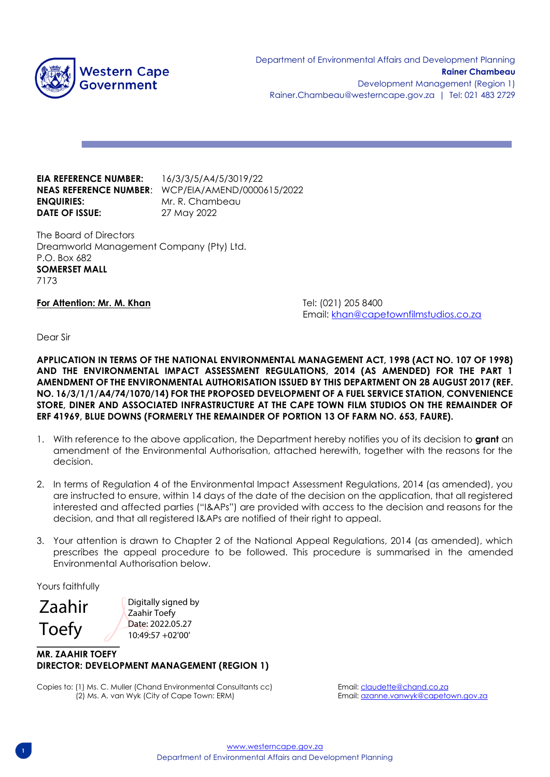

**EIA REFERENCE NUMBER:** 16/3/3/5/A4/5/3019/22 **ENQUIRIES:** Mr. R. Chambeau **DATE OF ISSUE:** 27 May 2022

**NEAS REFERENCE NUMBER**: WCP/EIA/AMEND/0000615/2022

The Board of Directors Dreamworld Management Company (Pty) Ltd. P.O. Box 682 **SOMERSET MALL** 7173

**For Attention: Mr. M. Khan Tel: (021) 205 8400** 

Email: [khan@capetownfilmstudios.co.za](mailto:khan@capetownfilmstudios.co.za)

Dear Sir

**APPLICATION IN TERMS OF THE NATIONAL ENVIRONMENTAL MANAGEMENT ACT, 1998 (ACT NO. 107 OF 1998) AND THE ENVIRONMENTAL IMPACT ASSESSMENT REGULATIONS, 2014 (AS AMENDED) FOR THE PART 1 AMENDMENT OF THE ENVIRONMENTAL AUTHORISATION ISSUED BY THIS DEPARTMENT ON 28 AUGUST 2017 (REF. NO. 16/3/1/1/A4/74/1070/14) FOR THE PROPOSED DEVELOPMENT OF A FUEL SERVICE STATION, CONVENIENCE STORE, DINER AND ASSOCIATED INFRASTRUCTURE AT THE CAPE TOWN FILM STUDIOS ON THE REMAINDER OF ERF 41969, BLUE DOWNS (FORMERLY THE REMAINDER OF PORTION 13 OF FARM NO. 653, FAURE).**

- 1. With reference to the above application, the Department hereby notifies you of its decision to **grant** an amendment of the Environmental Authorisation, attached herewith, together with the reasons for the decision.
- 2. In terms of Regulation 4 of the Environmental Impact Assessment Regulations, 2014 (as amended), you are instructed to ensure, within 14 days of the date of the decision on the application, that all registered interested and affected parties ("I&APs") are provided with access to the decision and reasons for the decision, and that all registered I&APs are notified of their right to appeal.
- 3. Your attention is drawn to Chapter 2 of the National Appeal Regulations, 2014 (as amended), which prescribes the appeal procedure to be followed. This procedure is summarised in the amended Environmental Authorisation below.

Yours faithfully

 $\overline{\phantom{a}}$ Zaahir Toefy

Digitally signed by Zaahir Toefy Date: 2022.05.27 10:49:57 +02'00'

## **MR. ZAAHIR TOEFY DIRECTOR: DEVELOPMENT MANAGEMENT (REGION 1)**

Copies to: (1) Ms. C. Muller (Chand Environmental Consultants cc) Email: claudette@chand.co.za (2) Ms. A. van Wyk (City of Cape Town: ERM) Email[: azanne.vanwyk@capetown.gov.za](mailto:azanne.vanwyk@capetown.gov.za)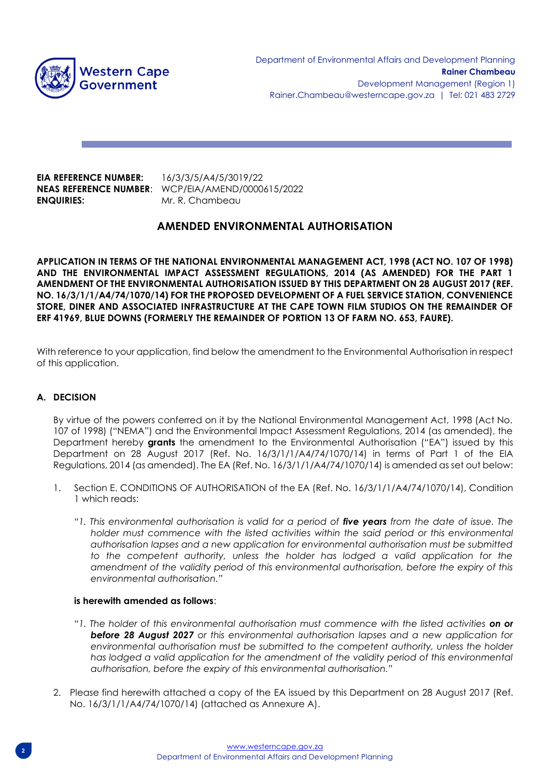

**EIA REFERENCE NUMBER:** 16/3/3/5/A4/5/3019/22 **ENQUIRIES:** Mr. R. Chambeau

**NEAS REFERENCE NUMBER**: WCP/EIA/AMEND/0000615/2022

# **AMENDED ENVIRONMENTAL AUTHORISATION**

**APPLICATION IN TERMS OF THE NATIONAL ENVIRONMENTAL MANAGEMENT ACT, 1998 (ACT NO. 107 OF 1998) AND THE ENVIRONMENTAL IMPACT ASSESSMENT REGULATIONS, 2014 (AS AMENDED) FOR THE PART 1 AMENDMENT OF THE ENVIRONMENTAL AUTHORISATION ISSUED BY THIS DEPARTMENT ON 28 AUGUST 2017 (REF. NO. 16/3/1/1/A4/74/1070/14) FOR THE PROPOSED DEVELOPMENT OF A FUEL SERVICE STATION, CONVENIENCE STORE, DINER AND ASSOCIATED INFRASTRUCTURE AT THE CAPE TOWN FILM STUDIOS ON THE REMAINDER OF ERF 41969, BLUE DOWNS (FORMERLY THE REMAINDER OF PORTION 13 OF FARM NO. 653, FAURE).**

With reference to your application, find below the amendment to the Environmental Authorisation in respect of this application.

## **A. DECISION**

By virtue of the powers conferred on it by the National Environmental Management Act, 1998 (Act No. 107 of 1998) ("NEMA") and the Environmental Impact Assessment Regulations, 2014 (as amended), the Department hereby **grants** the amendment to the Environmental Authorisation ("EA") issued by this Department on 28 August 2017 (Ref. No. 16/3/1/1/A4/74/1070/14) in terms of Part 1 of the EIA Regulations, 2014 (as amended). The EA (Ref. No. 16/3/1/1/A4/74/1070/14) is amended as set out below:

- 1. Section E. CONDITIONS OF AUTHORISATION of the EA (Ref. No. 16/3/1/1/A4/74/1070/14), Condition 1 which reads:
	- *"1. This environmental authorisation is valid for a period of five years from the date of issue. The*  holder must commence with the listed activities within the said period or this environmental *authorisation lapses and a new application for environmental authorisation must be submitted to the competent authority, unless the holder has lodged a valid application for the amendment of the validity period of this environmental authorisation, before the expiry of this environmental authorisation."*

#### **is herewith amended as follows**:

- *"1. The holder of this environmental authorisation must commence with the listed activities on or before 28 August 2027 or this environmental authorisation lapses and a new application for environmental authorisation must be submitted to the competent authority, unless the holder*  has lodged a valid application for the amendment of the validity period of this environmental *authorisation, before the expiry of this environmental authorisation."*
- 2. Please find herewith attached a copy of the EA issued by this Department on 28 August 2017 (Ref. No. 16/3/1/1/A4/74/1070/14) (attached as Annexure A).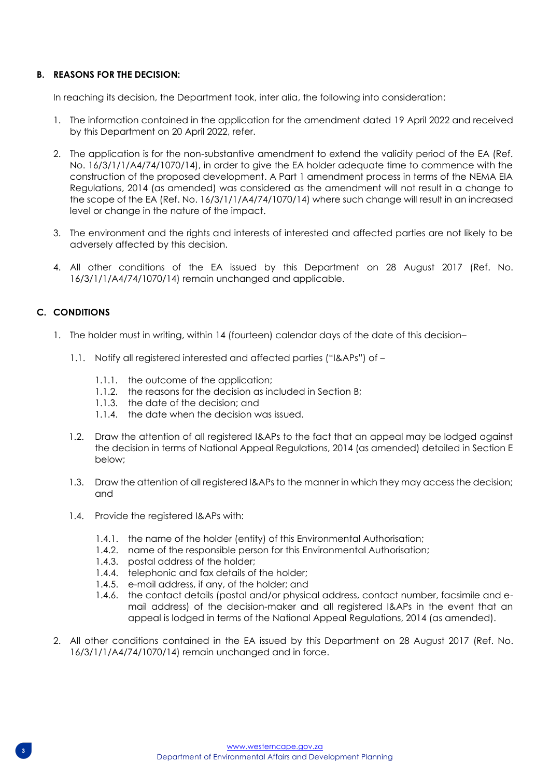#### **B. REASONS FOR THE DECISION:**

In reaching its decision, the Department took, inter alia, the following into consideration:

- 1. The information contained in the application for the amendment dated 19 April 2022 and received by this Department on 20 April 2022, refer.
- 2. The application is for the non-substantive amendment to extend the validity period of the EA (Ref. No. 16/3/1/1/A4/74/1070/14), in order to give the EA holder adequate time to commence with the construction of the proposed development. A Part 1 amendment process in terms of the NEMA EIA Regulations, 2014 (as amended) was considered as the amendment will not result in a change to the scope of the EA (Ref. No. 16/3/1/1/A4/74/1070/14) where such change will result in an increased level or change in the nature of the impact.
- 3. The environment and the rights and interests of interested and affected parties are not likely to be adversely affected by this decision.
- 4. All other conditions of the EA issued by this Department on 28 August 2017 (Ref. No. 16/3/1/1/A4/74/1070/14) remain unchanged and applicable.

## **C. CONDITIONS**

- 1. The holder must in writing, within 14 (fourteen) calendar days of the date of this decision–
	- 1.1. Notify all registered interested and affected parties ("I&APs") of
		- 1.1.1. the outcome of the application;
		- 1.1.2. the reasons for the decision as included in Section B;
		- 1.1.3. the date of the decision; and
		- 1.1.4. the date when the decision was issued.
	- 1.2. Draw the attention of all registered I&APs to the fact that an appeal may be lodged against the decision in terms of National Appeal Regulations, 2014 (as amended) detailed in Section E below;
	- 1.3. Draw the attention of all registered I&APs to the manner in which they may access the decision; and
	- 1.4. Provide the registered I&APs with:
		- 1.4.1. the name of the holder (entity) of this Environmental Authorisation;
		- 1.4.2. name of the responsible person for this Environmental Authorisation;
		- 1.4.3. postal address of the holder;
		- 1.4.4. telephonic and fax details of the holder;
		- 1.4.5. e-mail address, if any, of the holder; and
		- 1.4.6. the contact details (postal and/or physical address, contact number, facsimile and email address) of the decision-maker and all registered I&APs in the event that an appeal is lodged in terms of the National Appeal Regulations, 2014 (as amended).
- 2. All other conditions contained in the EA issued by this Department on 28 August 2017 (Ref. No. 16/3/1/1/A4/74/1070/14) remain unchanged and in force.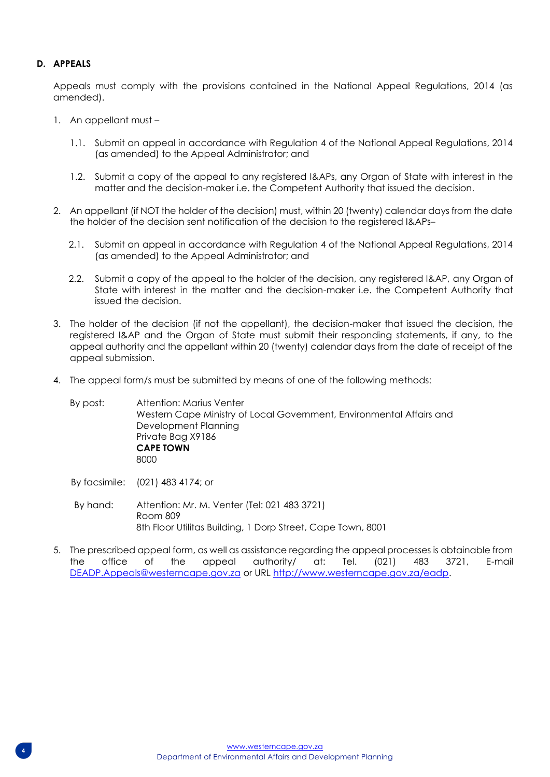#### **D. APPEALS**

Appeals must comply with the provisions contained in the National Appeal Regulations, 2014 (as amended).

- 1. An appellant must
	- 1.1. Submit an appeal in accordance with Regulation 4 of the National Appeal Regulations, 2014 (as amended) to the Appeal Administrator; and
	- 1.2. Submit a copy of the appeal to any registered I&APs, any Organ of State with interest in the matter and the decision-maker i.e. the Competent Authority that issued the decision.
- 2. An appellant (if NOT the holder of the decision) must, within 20 (twenty) calendar days from the date the holder of the decision sent notification of the decision to the registered I&APs–
	- 2.1. Submit an appeal in accordance with Regulation 4 of the National Appeal Regulations, 2014 (as amended) to the Appeal Administrator; and
	- 2.2. Submit a copy of the appeal to the holder of the decision, any registered I&AP, any Organ of State with interest in the matter and the decision-maker i.e. the Competent Authority that issued the decision.
- 3. The holder of the decision (if not the appellant), the decision-maker that issued the decision, the registered I&AP and the Organ of State must submit their responding statements, if any, to the appeal authority and the appellant within 20 (twenty) calendar days from the date of receipt of the appeal submission.
- 4. The appeal form/s must be submitted by means of one of the following methods:

By post: Attention: Marius Venter Western Cape Ministry of Local Government, Environmental Affairs and Development Planning Private Bag X9186 **CAPE TOWN** 8000

By facsimile: (021) 483 4174; or

- By hand: Attention: Mr. M. Venter (Tel: 021 483 3721) Room 809 8th Floor Utilitas Building, 1 Dorp Street, Cape Town, 8001
- 5. The prescribed appeal form, as well as assistance regarding the appeal processes is obtainable from the office of the appeal authority/ at: Tel. (021) 483 3721, E-mail [DEADP.Appeals@westerncape.gov.za](mailto:DEADP.Appeals@westerncape.gov.za) or URL [http://www.westerncape.gov.za/eadp.](http://www.westerncape.gov.za/eadp)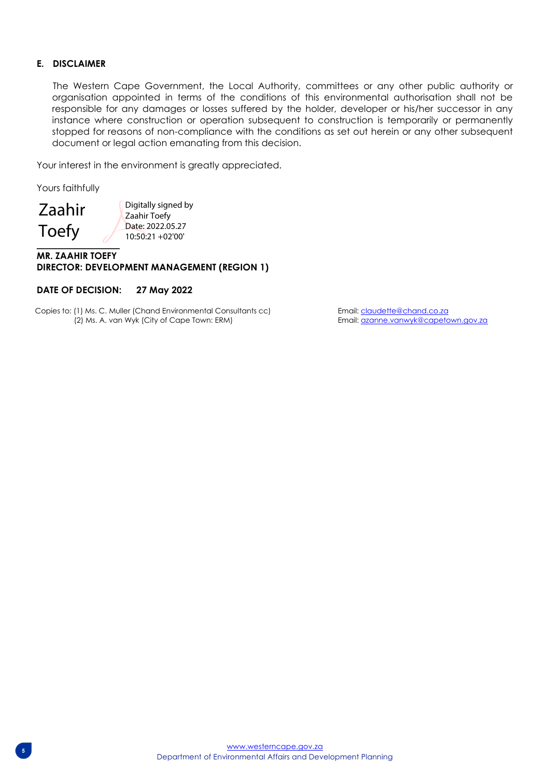#### **E. DISCLAIMER**

The Western Cape Government, the Local Authority, committees or any other public authority or organisation appointed in terms of the conditions of this environmental authorisation shall not be responsible for any damages or losses suffered by the holder, developer or his/her successor in any instance where construction or operation subsequent to construction is temporarily or permanently stopped for reasons of non-compliance with the conditions as set out herein or any other subsequent document or legal action emanating from this decision.

Your interest in the environment is greatly appreciated.

Yours faithfully

 $\overline{\phantom{a}}$ 

Zaahir Toefy

Digitally signed by Zaahir Toefy Date: 2022.05.27 10:50:21 +02'00'

#### **MR. ZAAHIR TOEFY DIRECTOR: DEVELOPMENT MANAGEMENT (REGION 1)**

#### **DATE OF DECISION: 27 May 2022**

Copies to: (1) Ms. C. Muller (Chand Environmental Consultants cc) Email: claudette@chand.co.za (2) Ms. A. van Wyk (City of Cape Town: ERM) Email: azanne.vanwyk@capetown.gov.za